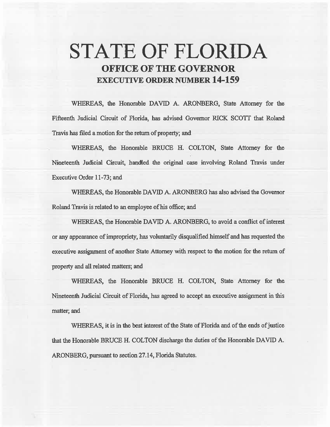# **STATE OF FLORIDA OFFICE OF THE GOVERNOR EXECUTIVE ORDER NUMBER 14-159**

WHEREAS, the Honorable DAVID A. ARONBERG, State Attorney for the Fifteenth Judicial Circuit of Florida, *has* advised Governor RICK SCOTI that Roland Travis has filed a motion for the return of property; and

WHEREAS, the Honorable BRUCE H. COLTON, State Attorney for the Nineteenth Judicial Circuit, handled the original case involving Roland Travis under Executive Order 11-73; and

WHEREAS, the Honorable DAVID A. ARONBERG has also advised the Governor Roland Travis is related to an employee of his office; and

WHEREAS, the Honorable DAVID A. ARONBERG, to avoid a conflict of interest or any appearance of impropriety, has voluntarily disqualified himself and has requested the executive assignment of another State Attorney with respect to the motion for the return of property and all related matters; and

WHEREAS, the Honorable BRUCE H. COLTON, State Attorney for the Nineteenth Judicial Circuit of Florida, has agreed to accept an executive assignment in this matter; and

WHEREAS, it is in the best interest of the State of Florida and of the ends of justice that the Honorable BRUCE H. COLTON discharge the duties of the Honorable DAVID A. ARONBERG, pursuant to section 27.14, Florida Statutes.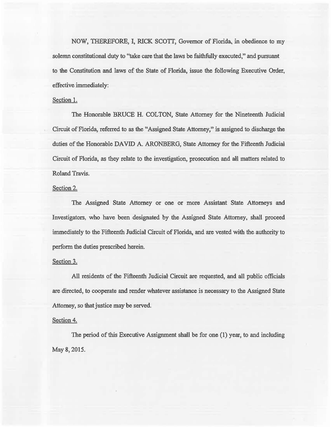NOW, THEREFORE, I, RICK SCOTT, Governor of Florida, in obedience to my solemn constitutional duty to "take care that the laws be faithfully executed," and pursuant to the Constitution and laws of the State of Florida, issue the foliowing Executive Order, effective immediately:

### Section 1.

The Honorable BRUCE H. COLTON, State Attorney for the Nineteenth Judicial Circuit of Florida, referred to as the "Assigned State Attorney," is assigned to discharge the duties of the Honorable DAVID A. ARONBERG, State Attorney for the Fifteenth Judicial Circuit of Fiorida, as they relate to the investigation, prosecution and a1l matters related to Roland Travis.

# Section 2.

The Assigned State Attorney or one or more Assistant State Attorneys and Investigators, who have been designated by the Assigned State Attorney, shall proceed immediately to the Fifteenth Judicial Circuit of Florida, and are vested with the authority to perform the duties prescribed herein.

#### Section 3.

All residents of the Fifteenth Judicial Circuit are requested, and all public officials are directed, to cooperate and render whatever assistance is necessary to the Assigned State Attorney, so that justice may be served.

## Section 4.

The period of this Executive Assignment shall be for one (1) year, to and including May 8, 2015.